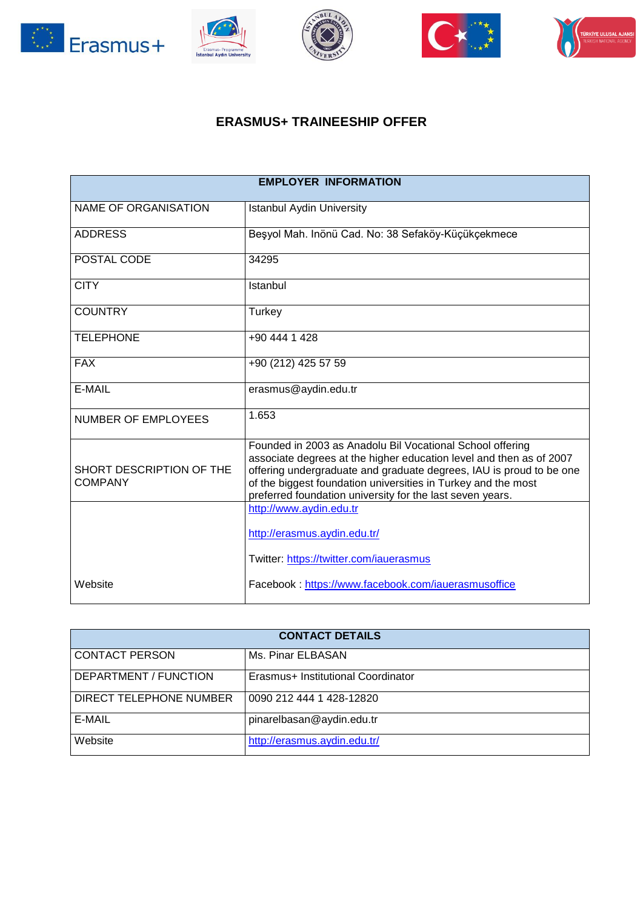









## **ERASMUS+ TRAINEESHIP OFFER**

| <b>EMPLOYER INFORMATION</b>                |                                                                                                                                                                                                                                                                                                                                       |  |
|--------------------------------------------|---------------------------------------------------------------------------------------------------------------------------------------------------------------------------------------------------------------------------------------------------------------------------------------------------------------------------------------|--|
| NAME OF ORGANISATION                       | <b>Istanbul Aydin University</b>                                                                                                                                                                                                                                                                                                      |  |
| <b>ADDRESS</b>                             | Beşyol Mah. Inönü Cad. No: 38 Sefaköy-Küçükçekmece                                                                                                                                                                                                                                                                                    |  |
| POSTAL CODE                                | 34295                                                                                                                                                                                                                                                                                                                                 |  |
| <b>CITY</b>                                | Istanbul                                                                                                                                                                                                                                                                                                                              |  |
| <b>COUNTRY</b>                             | Turkey                                                                                                                                                                                                                                                                                                                                |  |
| <b>TELEPHONE</b>                           | +90 444 1 428                                                                                                                                                                                                                                                                                                                         |  |
| <b>FAX</b>                                 | +90 (212) 425 57 59                                                                                                                                                                                                                                                                                                                   |  |
| E-MAIL                                     | erasmus@aydin.edu.tr                                                                                                                                                                                                                                                                                                                  |  |
| NUMBER OF EMPLOYEES                        | 1.653                                                                                                                                                                                                                                                                                                                                 |  |
| SHORT DESCRIPTION OF THE<br><b>COMPANY</b> | Founded in 2003 as Anadolu Bil Vocational School offering<br>associate degrees at the higher education level and then as of 2007<br>offering undergraduate and graduate degrees, IAU is proud to be one<br>of the biggest foundation universities in Turkey and the most<br>preferred foundation university for the last seven years. |  |
|                                            | http://www.aydin.edu.tr                                                                                                                                                                                                                                                                                                               |  |
|                                            | http://erasmus.aydin.edu.tr/                                                                                                                                                                                                                                                                                                          |  |
|                                            | Twitter: https://twitter.com/iauerasmus                                                                                                                                                                                                                                                                                               |  |
| Website                                    | Facebook: https://www.facebook.com/iauerasmusoffice                                                                                                                                                                                                                                                                                   |  |

| <b>CONTACT DETAILS</b>  |                                    |  |
|-------------------------|------------------------------------|--|
| <b>CONTACT PERSON</b>   | Ms. Pinar ELBASAN                  |  |
| DEPARTMENT / FUNCTION   | Erasmus+ Institutional Coordinator |  |
| DIRECT TELEPHONE NUMBER | 0090 212 444 1 428-12820           |  |
| E-MAIL                  | pinarelbasan@aydin.edu.tr          |  |
| Website                 | http://erasmus.aydin.edu.tr/       |  |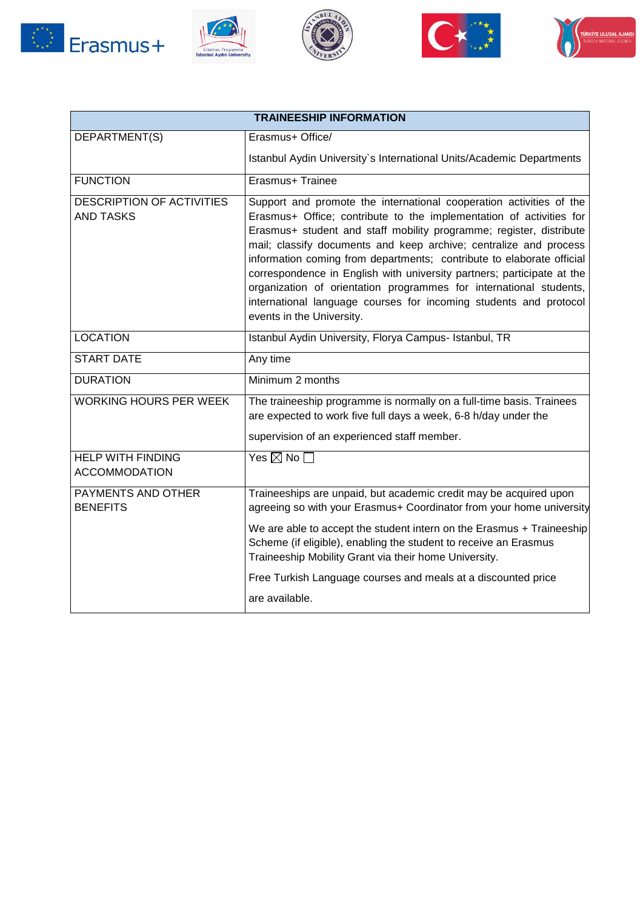









| <b>TRAINEESHIP INFORMATION</b>                       |                                                                                                                                                                                                                                                                                                                                                                                                                                                                                                                                                                                                                   |  |
|------------------------------------------------------|-------------------------------------------------------------------------------------------------------------------------------------------------------------------------------------------------------------------------------------------------------------------------------------------------------------------------------------------------------------------------------------------------------------------------------------------------------------------------------------------------------------------------------------------------------------------------------------------------------------------|--|
| DEPARTMENT(S)                                        | Erasmus+ Office/                                                                                                                                                                                                                                                                                                                                                                                                                                                                                                                                                                                                  |  |
|                                                      | Istanbul Aydin University's International Units/Academic Departments                                                                                                                                                                                                                                                                                                                                                                                                                                                                                                                                              |  |
| <b>FUNCTION</b>                                      | Erasmus+ Trainee                                                                                                                                                                                                                                                                                                                                                                                                                                                                                                                                                                                                  |  |
| <b>DESCRIPTION OF ACTIVITIES</b><br><b>AND TASKS</b> | Support and promote the international cooperation activities of the<br>Erasmus+ Office; contribute to the implementation of activities for<br>Erasmus+ student and staff mobility programme; register, distribute<br>mail; classify documents and keep archive; centralize and process<br>information coming from departments; contribute to elaborate official<br>correspondence in English with university partners; participate at the<br>organization of orientation programmes for international students,<br>international language courses for incoming students and protocol<br>events in the University. |  |
| <b>LOCATION</b>                                      | Istanbul Aydin University, Florya Campus- Istanbul, TR                                                                                                                                                                                                                                                                                                                                                                                                                                                                                                                                                            |  |
| <b>START DATE</b>                                    | Any time                                                                                                                                                                                                                                                                                                                                                                                                                                                                                                                                                                                                          |  |
| <b>DURATION</b>                                      | Minimum 2 months                                                                                                                                                                                                                                                                                                                                                                                                                                                                                                                                                                                                  |  |
| <b>WORKING HOURS PER WEEK</b>                        | The traineeship programme is normally on a full-time basis. Trainees<br>are expected to work five full days a week, 6-8 h/day under the<br>supervision of an experienced staff member.                                                                                                                                                                                                                                                                                                                                                                                                                            |  |
| <b>HELP WITH FINDING</b><br><b>ACCOMMODATION</b>     | Yes $\boxtimes$ No $\square$                                                                                                                                                                                                                                                                                                                                                                                                                                                                                                                                                                                      |  |
| PAYMENTS AND OTHER<br><b>BENEFITS</b>                | Traineeships are unpaid, but academic credit may be acquired upon<br>agreeing so with your Erasmus+ Coordinator from your home university                                                                                                                                                                                                                                                                                                                                                                                                                                                                         |  |
|                                                      | We are able to accept the student intern on the Erasmus + Traineeship<br>Scheme (if eligible), enabling the student to receive an Erasmus<br>Traineeship Mobility Grant via their home University.                                                                                                                                                                                                                                                                                                                                                                                                                |  |
|                                                      | Free Turkish Language courses and meals at a discounted price                                                                                                                                                                                                                                                                                                                                                                                                                                                                                                                                                     |  |
|                                                      | are available.                                                                                                                                                                                                                                                                                                                                                                                                                                                                                                                                                                                                    |  |